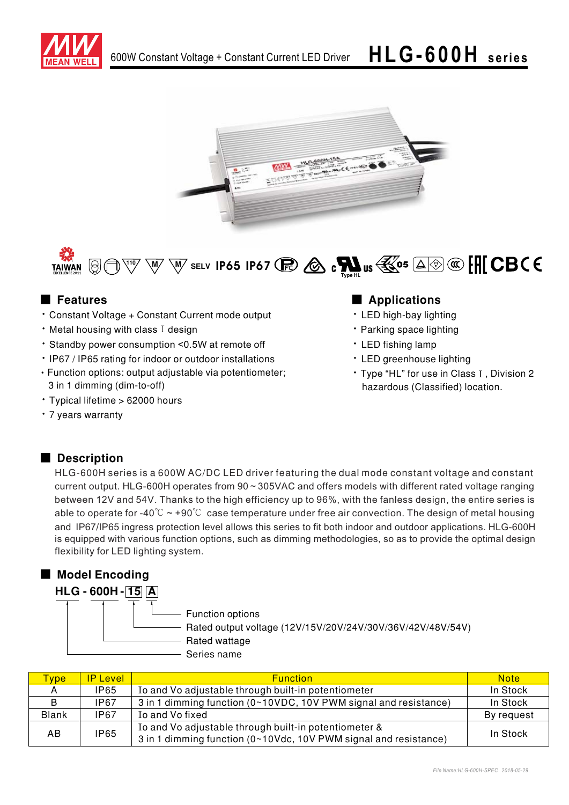







## ■  ■

- Constant Voltage + Constant Current mode output
- $\cdot$  Metal housing with class I design
- Standby power consumption <0.5W at remote off
- IP67 / IP65 rating for indoor or outdoor installations
- Function options: output adjustable via potentiometer; 3 in 1 dimming (dim-to-off)
- \* Typical lifetime > 62000 hours
- 7 years warranty

### 

- · LED high-bay lighting
- · Parking space lighting
- LED fishing lamp
- · LED greenhouse lighting
- Type "HL" for use in Class I, Division 2 hazardous (Classified) location.

### ■ Description

HLG-600H series is a 600W AC/DC LED driver featuring the dual mode constant voltage and constant current output. HLG-600H operates from  $90 \sim 305$ VAC and offers models with different rated voltage ranging between 12V and 54V. Thanks to the high efficiency up to 96%, with the fanless design, the entire series is able to operate for -40 $\degree$ C  $\sim$  +90 $\degree$ C case temperature under free air convection. The design of metal housing and IP67/IP65 ingress protection level allows this series to fit both indoor and outdoor applications. HLG-600H is equipped with various function options, such as dimming methodologies, so as to provide the optimal design flexibility for LED lighting system.

## ■ Model Encoding

| Rated output voltage (12V/15V/20V/24V/30V/36V/42V/48V/54V) |
|------------------------------------------------------------|
|                                                            |

| <b>Type</b>  | <b>IP Level</b> | <b>Function</b>                                                                                                           | <b>Note</b> |
|--------------|-----------------|---------------------------------------------------------------------------------------------------------------------------|-------------|
| A            | <b>IP65</b>     | Io and Vo adjustable through built-in potentiometer                                                                       | In Stock    |
| B            | <b>IP67</b>     | 3 in 1 dimming function (0~10VDC, 10V PWM signal and resistance)                                                          | In Stock    |
| <b>Blank</b> | IP67            | To and Vo fixed                                                                                                           | By request  |
| AB           | <b>IP65</b>     | Io and Vo adjustable through built-in potentiometer &<br>3 in 1 dimming function (0~10Vdc, 10V PWM signal and resistance) | In Stock    |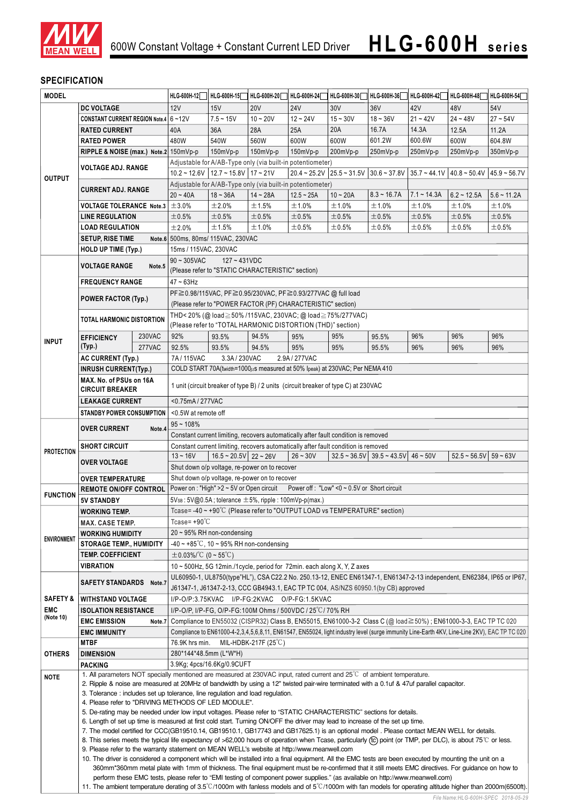

### **SPECIFICATION**

| <b>MODEL</b>            |                                                                                                                                                                                                                                                                                                                                                                                                             |                                                                             | HLG-600H-12                                                                                                                                                           | HLG-600H-15                                                                                                                   | HLG-600H-20 | HLG-600H-24                                                                                | HLG-600H-30 | HLG-600H-36                                                                                                            | HLG-600H-42   | HLG-600H-48   | HLG-600H-54   |
|-------------------------|-------------------------------------------------------------------------------------------------------------------------------------------------------------------------------------------------------------------------------------------------------------------------------------------------------------------------------------------------------------------------------------------------------------|-----------------------------------------------------------------------------|-----------------------------------------------------------------------------------------------------------------------------------------------------------------------|-------------------------------------------------------------------------------------------------------------------------------|-------------|--------------------------------------------------------------------------------------------|-------------|------------------------------------------------------------------------------------------------------------------------|---------------|---------------|---------------|
|                         | <b>DC VOLTAGE</b>                                                                                                                                                                                                                                                                                                                                                                                           |                                                                             | 12V                                                                                                                                                                   | 15V                                                                                                                           | <b>20V</b>  | <b>24V</b>                                                                                 | 30V         | 36V                                                                                                                    | 42V           | 48V           | 54V           |
|                         | CONSTANT CURRENT REGION Note.4 6~12V                                                                                                                                                                                                                                                                                                                                                                        |                                                                             |                                                                                                                                                                       | $7.5 - 15V$                                                                                                                   | $10 - 20V$  | $12 - 24V$                                                                                 | $15 - 30V$  | $18 - 36V$                                                                                                             | $21 - 42V$    | $24 - 48V$    | $27 - 54V$    |
|                         | <b>RATED CURRENT</b>                                                                                                                                                                                                                                                                                                                                                                                        |                                                                             | 40A                                                                                                                                                                   | 36A                                                                                                                           | 28A         | 25A                                                                                        | 20A         | 16.7A                                                                                                                  | 14.3A         | 12.5A         | 11.2A         |
|                         | <b>RATED POWER</b>                                                                                                                                                                                                                                                                                                                                                                                          |                                                                             | 480W                                                                                                                                                                  | 540W                                                                                                                          | 560W        | 600W                                                                                       | 600W        | 601.2W                                                                                                                 | 600.6W        | 600W          | 604.8W        |
|                         | RIPPLE & NOISE (max.) Note.2 150mVp-p                                                                                                                                                                                                                                                                                                                                                                       |                                                                             |                                                                                                                                                                       | $150mVp-p$                                                                                                                    | 150mVp-p    | 150mVp-p                                                                                   | 200mVp-p    | 250mVp-p                                                                                                               | 250mVp-p      | 250mVp-p      | $350mVp-p$    |
|                         | VOLTAGE ADJ. RANGE                                                                                                                                                                                                                                                                                                                                                                                          |                                                                             |                                                                                                                                                                       |                                                                                                                               |             | Adjustable for A/AB-Type only (via built-in potentiometer)                                 |             |                                                                                                                        |               |               |               |
| <b>OUTPUT</b>           |                                                                                                                                                                                                                                                                                                                                                                                                             |                                                                             | $10.2 \approx 12.6 \text{V}$   12.7 ~ 15.8V   17 ~ 21V<br>$20.4 \sim 25.2 \text{V}$ 25.5 ~ 31.5 V 30.6 ~ 37.8 V<br>$35.7 - 44.1V$<br>$40.8 - 50.4V$<br>$45.9 - 56.7V$ |                                                                                                                               |             |                                                                                            |             |                                                                                                                        |               |               |               |
|                         | <b>CURRENT ADJ. RANGE</b>                                                                                                                                                                                                                                                                                                                                                                                   |                                                                             | Adjustable for A/AB-Type only (via built-in potentiometer)                                                                                                            |                                                                                                                               |             |                                                                                            |             |                                                                                                                        |               |               |               |
|                         |                                                                                                                                                                                                                                                                                                                                                                                                             |                                                                             | $20 - 40A$                                                                                                                                                            | $18 - 36A$                                                                                                                    | $14 - 28A$  | $12.5 - 25A$                                                                               | $10 - 20A$  | $8.3 - 16.7A$                                                                                                          | $7.1 - 14.3A$ | $6.2 - 12.5A$ | $5.6 - 11.2A$ |
|                         | VOLTAGE TOLERANCE Note.3                                                                                                                                                                                                                                                                                                                                                                                    |                                                                             | ±3.0%                                                                                                                                                                 | ±2.0%                                                                                                                         | ±1.5%       | ±1.0%                                                                                      | ±1.0%       | ±1.0%                                                                                                                  | ±1.0%         | ±1.0%         | ±1.0%         |
|                         | <b>LINE REGULATION</b>                                                                                                                                                                                                                                                                                                                                                                                      |                                                                             | ±0.5%                                                                                                                                                                 | ±0.5%                                                                                                                         | ±0.5%       | $\pm 0.5%$                                                                                 | ±0.5%       | ±0.5%                                                                                                                  | ±0.5%         | ±0.5%         | $\pm 0.5\%$   |
|                         | <b>LOAD REGULATION</b>                                                                                                                                                                                                                                                                                                                                                                                      |                                                                             | ±2.0%                                                                                                                                                                 | ±1.5%                                                                                                                         | ±1.0%       | $\pm 0.5\%$                                                                                | ±0.5%       | ±0.5%                                                                                                                  | ±0.5%         | ±0.5%         | $\pm 0.5\%$   |
|                         | <b>SETUP, RISE TIME</b>                                                                                                                                                                                                                                                                                                                                                                                     |                                                                             | Note.6 500ms, 80ms/ 115VAC, 230VAC                                                                                                                                    |                                                                                                                               |             |                                                                                            |             |                                                                                                                        |               |               |               |
|                         | <b>HOLD UP TIME (Typ.)</b>                                                                                                                                                                                                                                                                                                                                                                                  |                                                                             | 15ms / 115VAC, 230VAC                                                                                                                                                 |                                                                                                                               |             |                                                                                            |             |                                                                                                                        |               |               |               |
|                         | VOLTAGE RANGE                                                                                                                                                                                                                                                                                                                                                                                               | Note.5                                                                      | $90 - 305$ VAC<br>$127 - 431VDC$                                                                                                                                      |                                                                                                                               |             |                                                                                            |             |                                                                                                                        |               |               |               |
|                         |                                                                                                                                                                                                                                                                                                                                                                                                             |                                                                             | (Please refer to "STATIC CHARACTERISTIC" section)                                                                                                                     |                                                                                                                               |             |                                                                                            |             |                                                                                                                        |               |               |               |
|                         | <b>FREQUENCY RANGE</b>                                                                                                                                                                                                                                                                                                                                                                                      |                                                                             | $47 - 63$ Hz                                                                                                                                                          |                                                                                                                               |             |                                                                                            |             |                                                                                                                        |               |               |               |
|                         | <b>POWER FACTOR (Typ.)</b><br><b>TOTAL HARMONIC DISTORTION</b>                                                                                                                                                                                                                                                                                                                                              |                                                                             | PF ≥ 0.98/115VAC, PF ≥ 0.95/230VAC, PF ≥ 0.93/277VAC @ full load                                                                                                      |                                                                                                                               |             |                                                                                            |             |                                                                                                                        |               |               |               |
|                         |                                                                                                                                                                                                                                                                                                                                                                                                             |                                                                             | (Please refer to "POWER FACTOR (PF) CHARACTERISTIC" section)                                                                                                          |                                                                                                                               |             |                                                                                            |             |                                                                                                                        |               |               |               |
|                         |                                                                                                                                                                                                                                                                                                                                                                                                             |                                                                             | THD<20% (@ load≥50%/115VAC, 230VAC; @ load≥75%/277VAC)<br>(Please refer to "TOTAL HARMONIC DISTORTION (THD)" section)                                                 |                                                                                                                               |             |                                                                                            |             |                                                                                                                        |               |               |               |
|                         |                                                                                                                                                                                                                                                                                                                                                                                                             |                                                                             |                                                                                                                                                                       |                                                                                                                               |             |                                                                                            |             |                                                                                                                        |               |               |               |
| <b>INPUT</b>            | <b>EFFICIENCY</b><br>(Typ.)                                                                                                                                                                                                                                                                                                                                                                                 | 230VAC                                                                      | 92%                                                                                                                                                                   | 93.5%                                                                                                                         | 94.5%       | 95%                                                                                        | 95%         | 95.5%                                                                                                                  | 96%           | 96%           | 96%           |
|                         |                                                                                                                                                                                                                                                                                                                                                                                                             | 277VAC                                                                      | 92.5%<br>7A / 115VAC                                                                                                                                                  | 93.5%<br>3.3A/230VAC                                                                                                          | 94.5%       | 95%                                                                                        | 95%         | 95.5%                                                                                                                  | 96%           | 96%           | 96%           |
|                         | <b>AC CURRENT (Typ.)</b><br><b>INRUSH CURRENT(Typ.)</b>                                                                                                                                                                                                                                                                                                                                                     |                                                                             |                                                                                                                                                                       |                                                                                                                               |             | 2.9A/277VAC<br>COLD START 70A(twidth=1000µs measured at 50% Ipeak) at 230VAC; Per NEMA 410 |             |                                                                                                                        |               |               |               |
|                         | MAX. No. of PSUs on 16A                                                                                                                                                                                                                                                                                                                                                                                     |                                                                             |                                                                                                                                                                       |                                                                                                                               |             |                                                                                            |             |                                                                                                                        |               |               |               |
|                         | <b>CIRCUIT BREAKER</b>                                                                                                                                                                                                                                                                                                                                                                                      |                                                                             |                                                                                                                                                                       |                                                                                                                               |             | 1 unit (circuit breaker of type B) / 2 units (circuit breaker of type C) at 230VAC         |             |                                                                                                                        |               |               |               |
|                         | <b>LEAKAGE CURRENT</b>                                                                                                                                                                                                                                                                                                                                                                                      |                                                                             | <0.75mA / 277VAC                                                                                                                                                      |                                                                                                                               |             |                                                                                            |             |                                                                                                                        |               |               |               |
|                         | <b>STANDBY POWER CONSUMPTION</b>                                                                                                                                                                                                                                                                                                                                                                            |                                                                             | <0.5W at remote off                                                                                                                                                   |                                                                                                                               |             |                                                                                            |             |                                                                                                                        |               |               |               |
|                         |                                                                                                                                                                                                                                                                                                                                                                                                             |                                                                             | $95 - 108%$                                                                                                                                                           |                                                                                                                               |             |                                                                                            |             |                                                                                                                        |               |               |               |
|                         | <b>OVER CURRENT</b>                                                                                                                                                                                                                                                                                                                                                                                         | Note.4                                                                      | Constant current limiting, recovers automatically after fault condition is removed                                                                                    |                                                                                                                               |             |                                                                                            |             |                                                                                                                        |               |               |               |
|                         | <b>SHORT CIRCUIT</b>                                                                                                                                                                                                                                                                                                                                                                                        |                                                                             | Constant current limiting, recovers automatically after fault condition is removed                                                                                    |                                                                                                                               |             |                                                                                            |             |                                                                                                                        |               |               |               |
| <b>PROTECTION</b>       | <b>OVER VOLTAGE</b>                                                                                                                                                                                                                                                                                                                                                                                         |                                                                             | $16.5 \approx 20.5 \text{V}$ 22 ~ 26V<br>$32.5 \approx 36.5V$ 39.5 $\sim 43.5V$ 46 $\sim 50V$<br>$59 - 63V$<br>$13 - 16V$<br>$26 - 30V$<br>$52.5 - 56.5V$             |                                                                                                                               |             |                                                                                            |             |                                                                                                                        |               |               |               |
|                         |                                                                                                                                                                                                                                                                                                                                                                                                             |                                                                             | Shut down o/p voltage, re-power on to recover                                                                                                                         |                                                                                                                               |             |                                                                                            |             |                                                                                                                        |               |               |               |
|                         | <b>OVER TEMPERATURE</b>                                                                                                                                                                                                                                                                                                                                                                                     |                                                                             | Shut down o/p voltage, re-power on to recover                                                                                                                         |                                                                                                                               |             |                                                                                            |             |                                                                                                                        |               |               |               |
|                         | <b>REMOTE ON/OFF CONTROL</b>                                                                                                                                                                                                                                                                                                                                                                                |                                                                             |                                                                                                                                                                       | Power on : "High" > 2 ~ 5V or Open circuit Power off : "Low" < 0 ~ 0.5V or Short circuit                                      |             |                                                                                            |             |                                                                                                                        |               |               |               |
| <b>FUNCTION</b>         | <b>5V STANDBY</b>                                                                                                                                                                                                                                                                                                                                                                                           | 5VsB: 5V@0.5A; tolerance ±5%, ripple: 100mVp-p(max.)                        |                                                                                                                                                                       |                                                                                                                               |             |                                                                                            |             |                                                                                                                        |               |               |               |
|                         | <b>WORKING TEMP.</b>                                                                                                                                                                                                                                                                                                                                                                                        |                                                                             | Tcase=-40~+90°C (Please refer to "OUTPUT LOAD vs TEMPERATURE" section)                                                                                                |                                                                                                                               |             |                                                                                            |             |                                                                                                                        |               |               |               |
|                         | <b>MAX. CASE TEMP.</b>                                                                                                                                                                                                                                                                                                                                                                                      |                                                                             | Tcase= $+90^{\circ}$ C                                                                                                                                                |                                                                                                                               |             |                                                                                            |             |                                                                                                                        |               |               |               |
| <b>ENVIRONMENT</b>      | WORKING HUMIDITY                                                                                                                                                                                                                                                                                                                                                                                            |                                                                             | 20 ~ 95% RH non-condensing                                                                                                                                            |                                                                                                                               |             |                                                                                            |             |                                                                                                                        |               |               |               |
|                         | <b>STORAGE TEMP., HUMIDITY</b>                                                                                                                                                                                                                                                                                                                                                                              |                                                                             | $-40 \sim +85^{\circ}$ C, 10 ~ 95% RH non-condensing                                                                                                                  |                                                                                                                               |             |                                                                                            |             |                                                                                                                        |               |               |               |
|                         | <b>TEMP. COEFFICIENT</b>                                                                                                                                                                                                                                                                                                                                                                                    |                                                                             | $\pm$ 0.03%/°C (0~55°C)                                                                                                                                               |                                                                                                                               |             |                                                                                            |             |                                                                                                                        |               |               |               |
|                         | VIBRATION                                                                                                                                                                                                                                                                                                                                                                                                   |                                                                             | 10 $\sim$ 500Hz, 5G 12min./1 cycle, period for 72min. each along X, Y, Z axes                                                                                         |                                                                                                                               |             |                                                                                            |             |                                                                                                                        |               |               |               |
|                         | <b>SAFETY STANDARDS</b> Note.7                                                                                                                                                                                                                                                                                                                                                                              |                                                                             |                                                                                                                                                                       |                                                                                                                               |             |                                                                                            |             | UL60950-1, UL8750(type"HL"), CSA C22.2 No. 250.13-12, ENEC EN61347-1, EN61347-2-13 independent, EN62384, IP65 or IP67, |               |               |               |
|                         |                                                                                                                                                                                                                                                                                                                                                                                                             |                                                                             |                                                                                                                                                                       |                                                                                                                               |             |                                                                                            |             | J61347-1, J61347-2-13, CCC GB4943.1, EAC TP TC 004, AS/NZS 60950.1(by CB) approved                                     |               |               |               |
| <b>SAFETY &amp;</b>     |                                                                                                                                                                                                                                                                                                                                                                                                             | <b>WITHSTAND VOLTAGE</b><br>I/P-O/P:3.75KVAC I/P-FG:2KVAC<br>O/P-FG:1.5KVAC |                                                                                                                                                                       |                                                                                                                               |             |                                                                                            |             |                                                                                                                        |               |               |               |
| <b>EMC</b><br>(Note 10) | <b>ISOLATION RESISTANCE</b>                                                                                                                                                                                                                                                                                                                                                                                 |                                                                             | I/P-O/P, I/P-FG, O/P-FG:100M Ohms / 500VDC / 25 °C/ 70% RH                                                                                                            |                                                                                                                               |             |                                                                                            |             |                                                                                                                        |               |               |               |
|                         | <b>EMC EMISSION</b><br>Note.7                                                                                                                                                                                                                                                                                                                                                                               |                                                                             | Compliance to EN55032 (CISPR32) Class B, EN55015, EN61000-3-2 Class C (@ load≧50%) ; EN61000-3-3, EAC TP TC 020                                                       |                                                                                                                               |             |                                                                                            |             |                                                                                                                        |               |               |               |
|                         | <b>EMC IMMUNITY</b>                                                                                                                                                                                                                                                                                                                                                                                         |                                                                             | Compliance to EN61000-4-2,3,4,5,6,8,11, EN61547, EN55024, light industry level (surge immunity Line-Earth 4KV, Line-Line 2KV), EAC TP TC 020                          |                                                                                                                               |             |                                                                                            |             |                                                                                                                        |               |               |               |
| <b>OTHERS</b>           | MTBF<br><b>DIMENSION</b>                                                                                                                                                                                                                                                                                                                                                                                    |                                                                             | 76.9K hrs min.<br>MIL-HDBK-217F $(25^{\circ}C)$                                                                                                                       |                                                                                                                               |             |                                                                                            |             |                                                                                                                        |               |               |               |
|                         | PACKING                                                                                                                                                                                                                                                                                                                                                                                                     |                                                                             | 280*144*48.5mm (L*W*H)<br>3.9Kg; 4pcs/16.6Kg/0.9CUFT                                                                                                                  |                                                                                                                               |             |                                                                                            |             |                                                                                                                        |               |               |               |
|                         |                                                                                                                                                                                                                                                                                                                                                                                                             |                                                                             | 1. All parameters NOT specially mentioned are measured at 230VAC input, rated current and 25°C of ambient temperature.                                                |                                                                                                                               |             |                                                                                            |             |                                                                                                                        |               |               |               |
| <b>NOTE</b>             | 2. Ripple & noise are measured at 20MHz of bandwidth by using a 12" twisted pair-wire terminated with a 0.1uf & 47uf parallel capacitor.                                                                                                                                                                                                                                                                    |                                                                             |                                                                                                                                                                       |                                                                                                                               |             |                                                                                            |             |                                                                                                                        |               |               |               |
|                         | 3. Tolerance: includes set up tolerance, line regulation and load regulation.                                                                                                                                                                                                                                                                                                                               |                                                                             |                                                                                                                                                                       |                                                                                                                               |             |                                                                                            |             |                                                                                                                        |               |               |               |
|                         | 4. Please refer to "DRIVING METHODS OF LED MODULE".                                                                                                                                                                                                                                                                                                                                                         |                                                                             |                                                                                                                                                                       |                                                                                                                               |             |                                                                                            |             |                                                                                                                        |               |               |               |
|                         | 5. De-rating may be needed under low input voltages. Please refer to "STATIC CHARACTERISTIC" sections for details.                                                                                                                                                                                                                                                                                          |                                                                             |                                                                                                                                                                       |                                                                                                                               |             |                                                                                            |             |                                                                                                                        |               |               |               |
|                         | 6. Length of set up time is measured at first cold start. Turning ON/OFF the driver may lead to increase of the set up time.<br>7. The model certified for CCC(GB19510.14, GB19510.1, GB17743 and GB17625.1) is an optional model . Please contact MEAN WELL for details.                                                                                                                                   |                                                                             |                                                                                                                                                                       |                                                                                                                               |             |                                                                                            |             |                                                                                                                        |               |               |               |
|                         | 8. This series meets the typical life expectancy of >62,000 hours of operation when Tcase, particularly (tc) point (or TMP, per DLC), is about 75°C or less.                                                                                                                                                                                                                                                |                                                                             |                                                                                                                                                                       |                                                                                                                               |             |                                                                                            |             |                                                                                                                        |               |               |               |
|                         | 9. Please refer to the warranty statement on MEAN WELL's website at http://www.meanwell.com<br>10. The driver is considered a component which will be installed into a final equipment. All the EMC tests are been executed by mounting the unit on a<br>360mm*360mm metal plate with 1mm of thickness. The final equipment must be re-confirmed that it still meets EMC directives. For guidance on how to |                                                                             |                                                                                                                                                                       |                                                                                                                               |             |                                                                                            |             |                                                                                                                        |               |               |               |
|                         |                                                                                                                                                                                                                                                                                                                                                                                                             |                                                                             |                                                                                                                                                                       |                                                                                                                               |             |                                                                                            |             |                                                                                                                        |               |               |               |
|                         |                                                                                                                                                                                                                                                                                                                                                                                                             |                                                                             |                                                                                                                                                                       |                                                                                                                               |             |                                                                                            |             |                                                                                                                        |               |               |               |
|                         |                                                                                                                                                                                                                                                                                                                                                                                                             |                                                                             |                                                                                                                                                                       | perform these EMC tests, please refer to "EMI testing of component power supplies." (as available on http://www.meanwell.com) |             |                                                                                            |             |                                                                                                                        |               |               |               |
|                         | 11. The ambient temperature derating of 3.5°C/1000m with fanless models and of 5°C/1000m with fan models for operating altitude higher than 2000m(6500ft).                                                                                                                                                                                                                                                  |                                                                             |                                                                                                                                                                       |                                                                                                                               |             |                                                                                            |             |                                                                                                                        |               |               |               |

11. The ambient temperature derating of  $3.5^{\circ}$ C/1000m with fanless models and of  $5^{\circ}$ C/1000m with fan models for operating altitude higher than 2000m(6500ft). ratıng altı de higher than 2000m(6500ft).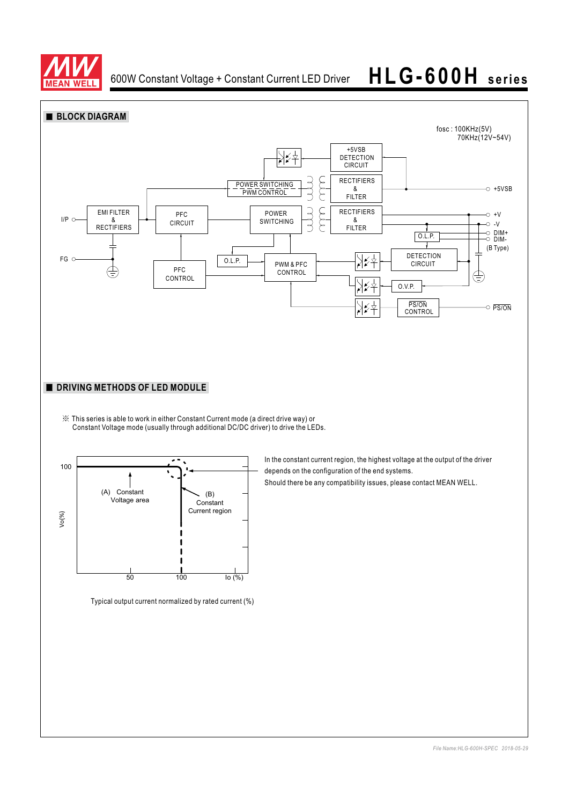

### **BLOCK DIAGRAM**

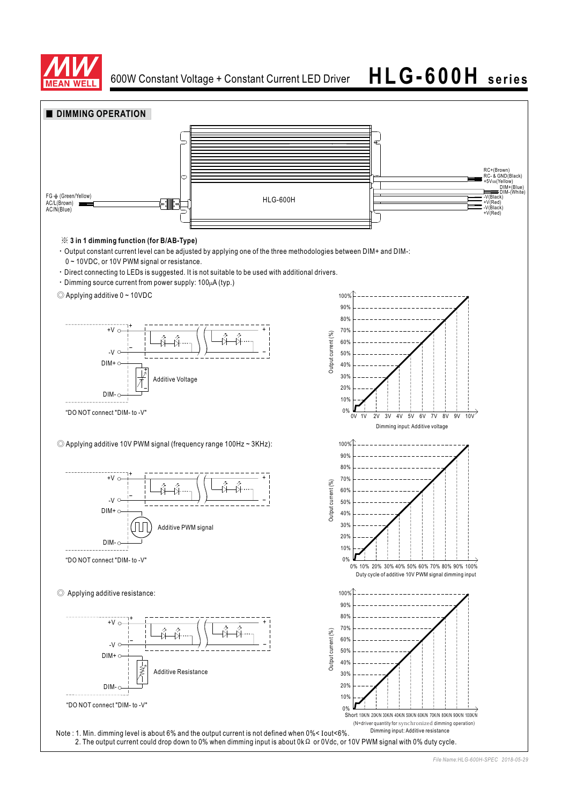

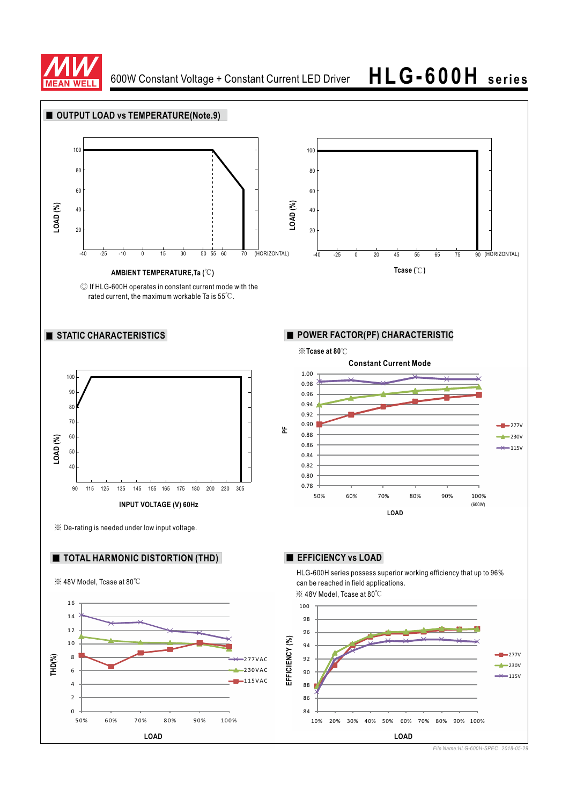



*File Name:HLG-600H-SPEC 2018-05-29*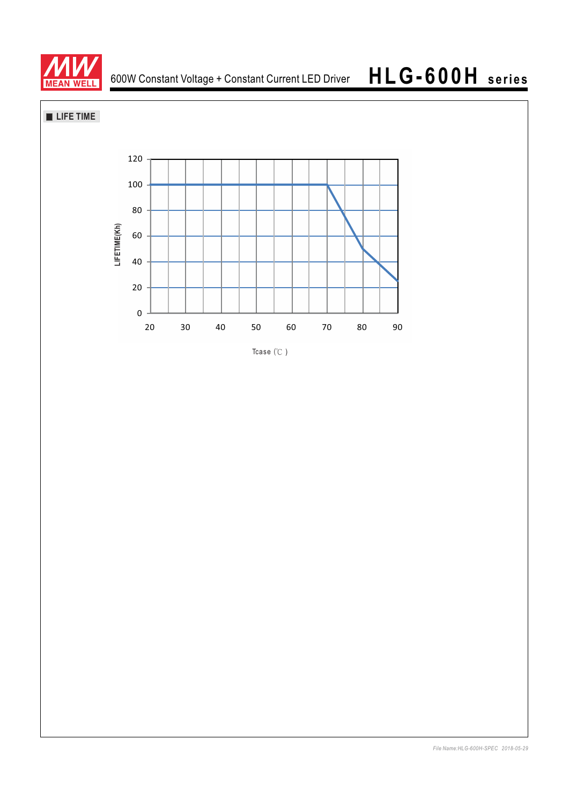

**LIFE TIME**



Tcase  $(^\circ \mathbb{C})$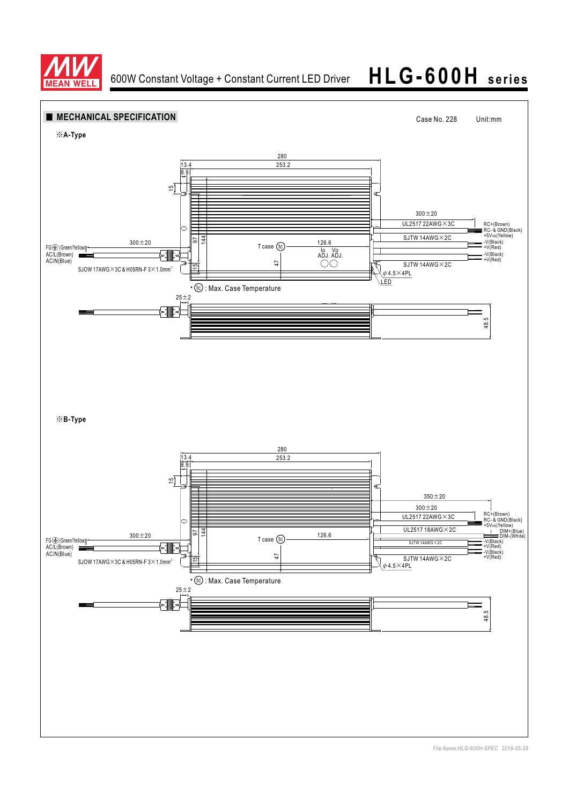